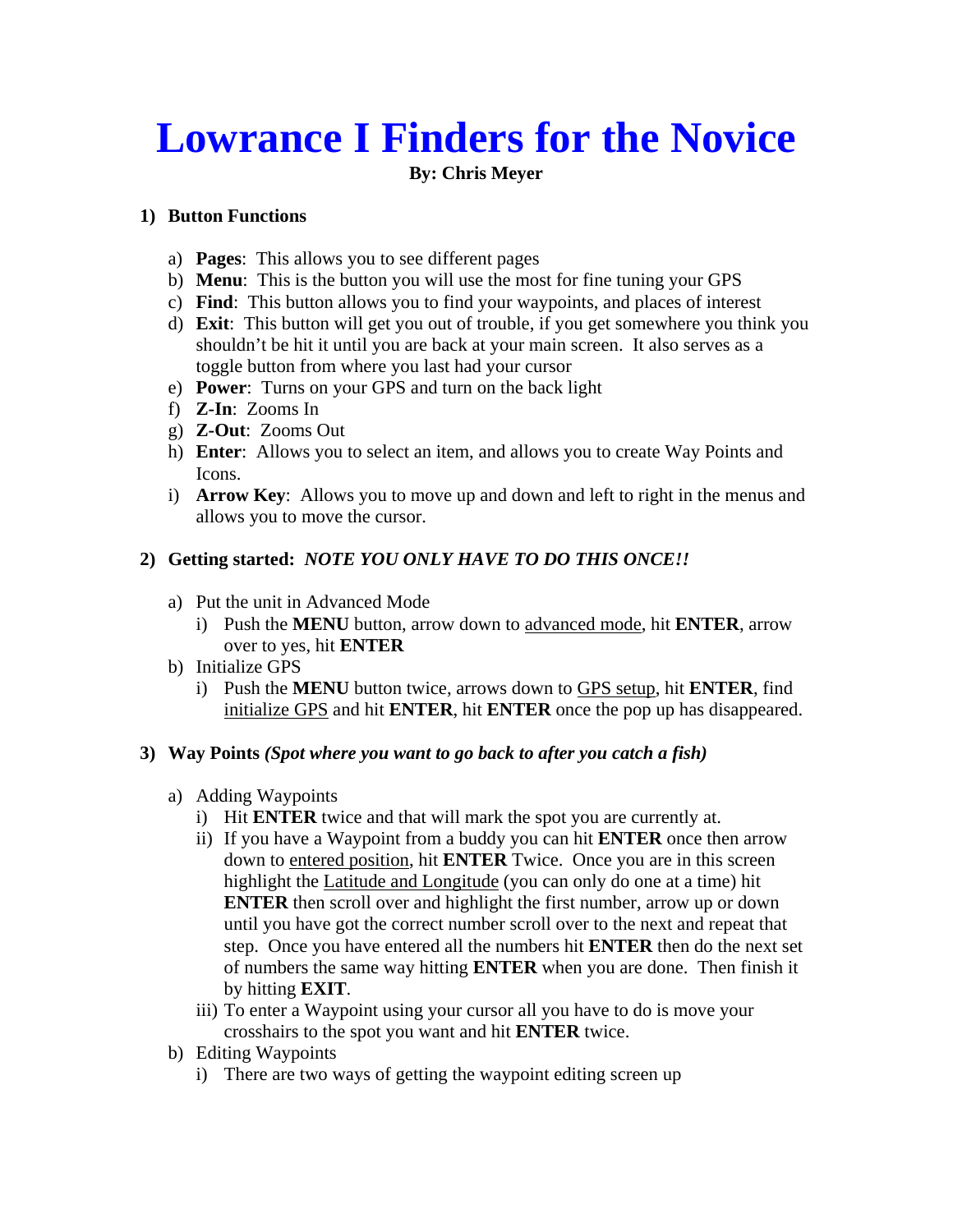# **Lowrance I Finders for the Novice**

## **By: Chris Meyer**

#### **1) Button Functions**

- a) **Pages**: This allows you to see different pages
- b) **Menu**: This is the button you will use the most for fine tuning your GPS
- c) **Find**: This button allows you to find your waypoints, and places of interest
- d) **Exit**: This button will get you out of trouble, if you get somewhere you think you shouldn't be hit it until you are back at your main screen. It also serves as a toggle button from where you last had your cursor
- e) **Power**: Turns on your GPS and turn on the back light
- f) **Z-In**: Zooms In
- g) **Z-Out**: Zooms Out
- h) **Enter**: Allows you to select an item, and allows you to create Way Points and Icons.
- i) **Arrow Key**: Allows you to move up and down and left to right in the menus and allows you to move the cursor.

## **2) Getting started:** *NOTE YOU ONLY HAVE TO DO THIS ONCE!!*

- a) Put the unit in Advanced Mode
	- i) Push the **MENU** button, arrow down to advanced mode, hit **ENTER**, arrow over to yes, hit **ENTER**
- b) Initialize GPS
	- i) Push the **MENU** button twice, arrows down to GPS setup, hit **ENTER**, find initialize GPS and hit **ENTER**, hit **ENTER** once the pop up has disappeared.

#### **3) Way Points** *(Spot where you want to go back to after you catch a fish)*

#### a) Adding Waypoints

- i) Hit **ENTER** twice and that will mark the spot you are currently at.
- ii) If you have a Waypoint from a buddy you can hit **ENTER** once then arrow down to entered position, hit **ENTER** Twice. Once you are in this screen highlight the Latitude and Longitude (you can only do one at a time) hit **ENTER** then scroll over and highlight the first number, arrow up or down until you have got the correct number scroll over to the next and repeat that step. Once you have entered all the numbers hit **ENTER** then do the next set of numbers the same way hitting **ENTER** when you are done. Then finish it by hitting **EXIT**.
- iii) To enter a Waypoint using your cursor all you have to do is move your crosshairs to the spot you want and hit **ENTER** twice.
- b) Editing Waypoints
	- i) There are two ways of getting the waypoint editing screen up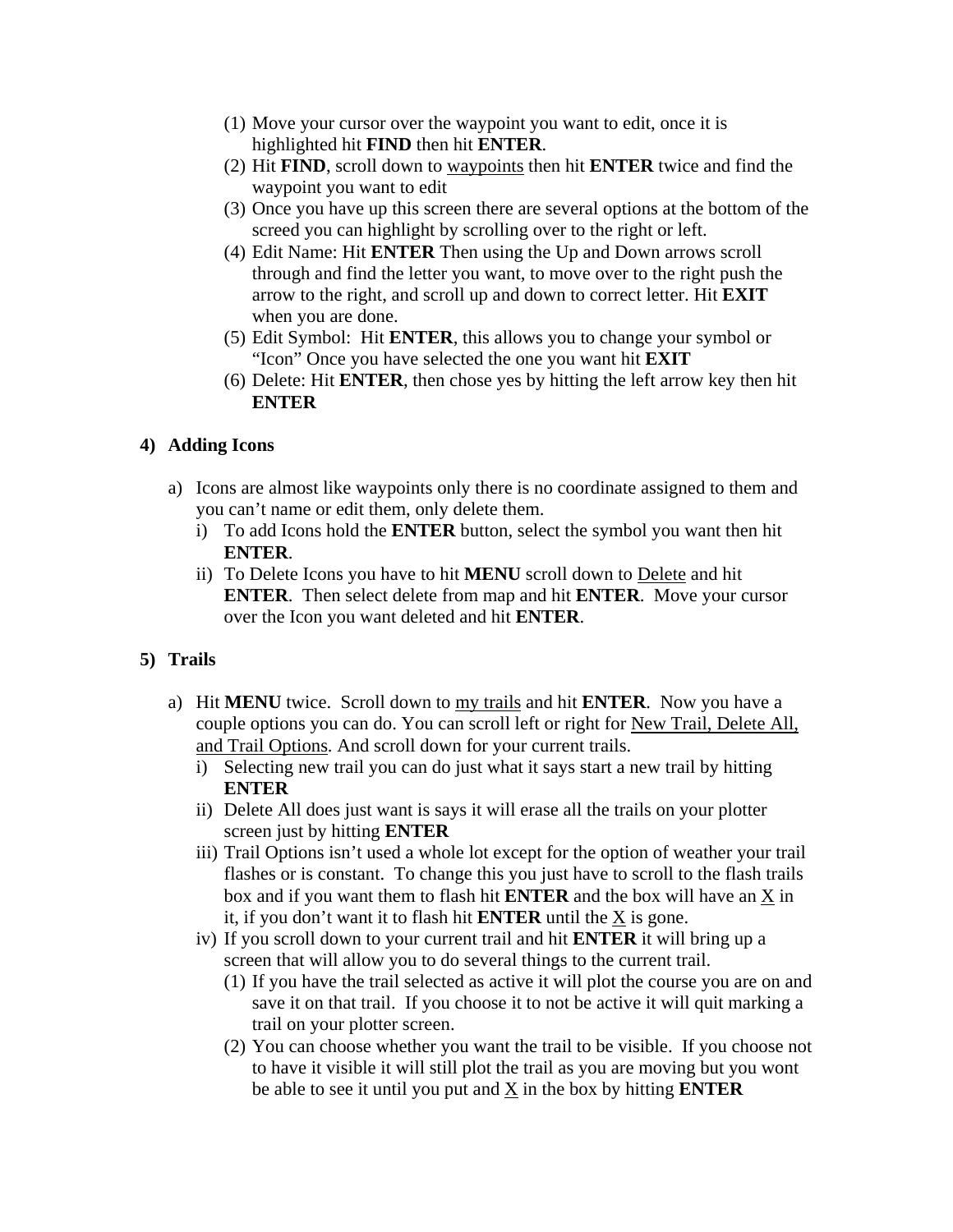- (1) Move your cursor over the waypoint you want to edit, once it is highlighted hit **FIND** then hit **ENTER**.
- (2) Hit **FIND**, scroll down to waypoints then hit **ENTER** twice and find the waypoint you want to edit
- (3) Once you have up this screen there are several options at the bottom of the screed you can highlight by scrolling over to the right or left.
- (4) Edit Name: Hit **ENTER** Then using the Up and Down arrows scroll through and find the letter you want, to move over to the right push the arrow to the right, and scroll up and down to correct letter. Hit **EXIT** when you are done.
- (5) Edit Symbol: Hit **ENTER**, this allows you to change your symbol or "Icon" Once you have selected the one you want hit **EXIT**
- (6) Delete: Hit **ENTER**, then chose yes by hitting the left arrow key then hit **ENTER**

### **4) Adding Icons**

- a) Icons are almost like waypoints only there is no coordinate assigned to them and you can't name or edit them, only delete them.
	- i) To add Icons hold the **ENTER** button, select the symbol you want then hit **ENTER**.
	- ii) To Delete Icons you have to hit **MENU** scroll down to Delete and hit **ENTER**. Then select delete from map and hit **ENTER**. Move your cursor over the Icon you want deleted and hit **ENTER**.

# **5) Trails**

- a) Hit **MENU** twice. Scroll down to my trails and hit **ENTER**. Now you have a couple options you can do. You can scroll left or right for New Trail, Delete All, and Trail Options. And scroll down for your current trails.
	- i) Selecting new trail you can do just what it says start a new trail by hitting **ENTER**
	- ii) Delete All does just want is says it will erase all the trails on your plotter screen just by hitting **ENTER**
	- iii) Trail Options isn't used a whole lot except for the option of weather your trail flashes or is constant. To change this you just have to scroll to the flash trails box and if you want them to flash hit **ENTER** and the box will have an  $\underline{X}$  in it, if you don't want it to flash hit **ENTER** until the X is gone.
	- iv) If you scroll down to your current trail and hit **ENTER** it will bring up a screen that will allow you to do several things to the current trail.
		- (1) If you have the trail selected as active it will plot the course you are on and save it on that trail. If you choose it to not be active it will quit marking a trail on your plotter screen.
		- (2) You can choose whether you want the trail to be visible. If you choose not to have it visible it will still plot the trail as you are moving but you wont be able to see it until you put and X in the box by hitting **ENTER**